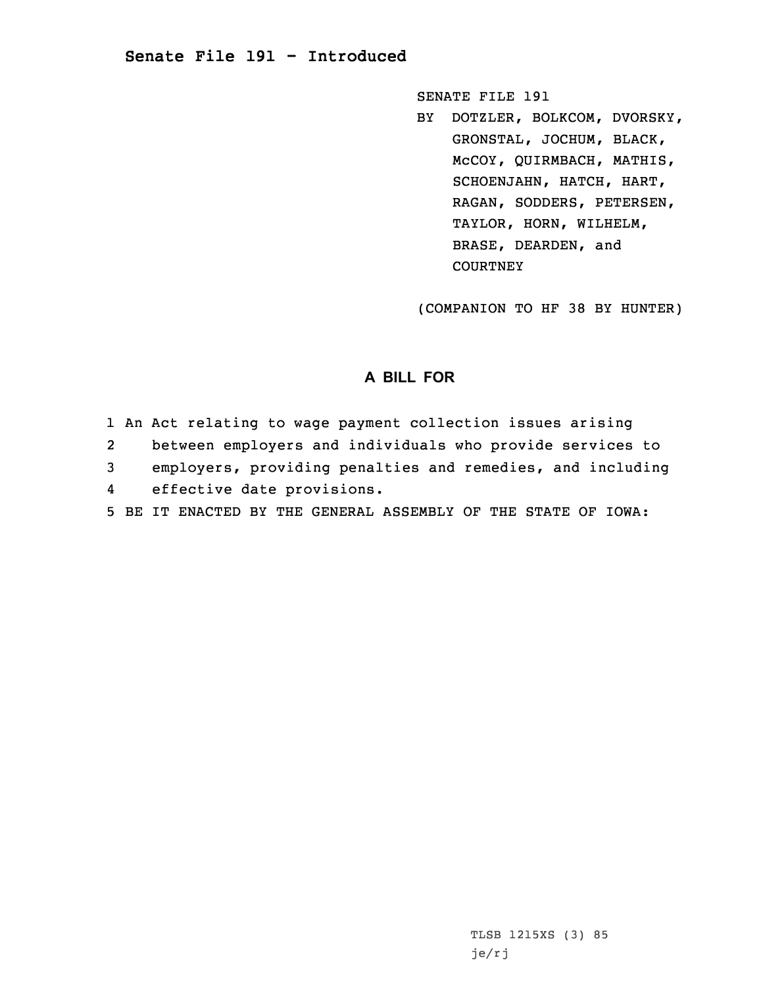## **Senate File 191 - Introduced**

SENATE FILE 191

BY DOTZLER, BOLKCOM, DVORSKY, GRONSTAL, JOCHUM, BLACK, McCOY, QUIRMBACH, MATHIS, SCHOENJAHN, HATCH, HART, RAGAN, SODDERS, PETERSEN, TAYLOR, HORN, WILHELM, BRASE, DEARDEN, and **COURTNEY** 

(COMPANION TO HF 38 BY HUNTER)

## **A BILL FOR**

1 An Act relating to wage payment collection issues arising 2between employers and individuals who provide services to

3 employers, providing penalties and remedies, and including

4effective date provisions.

5 BE IT ENACTED BY THE GENERAL ASSEMBLY OF THE STATE OF IOWA: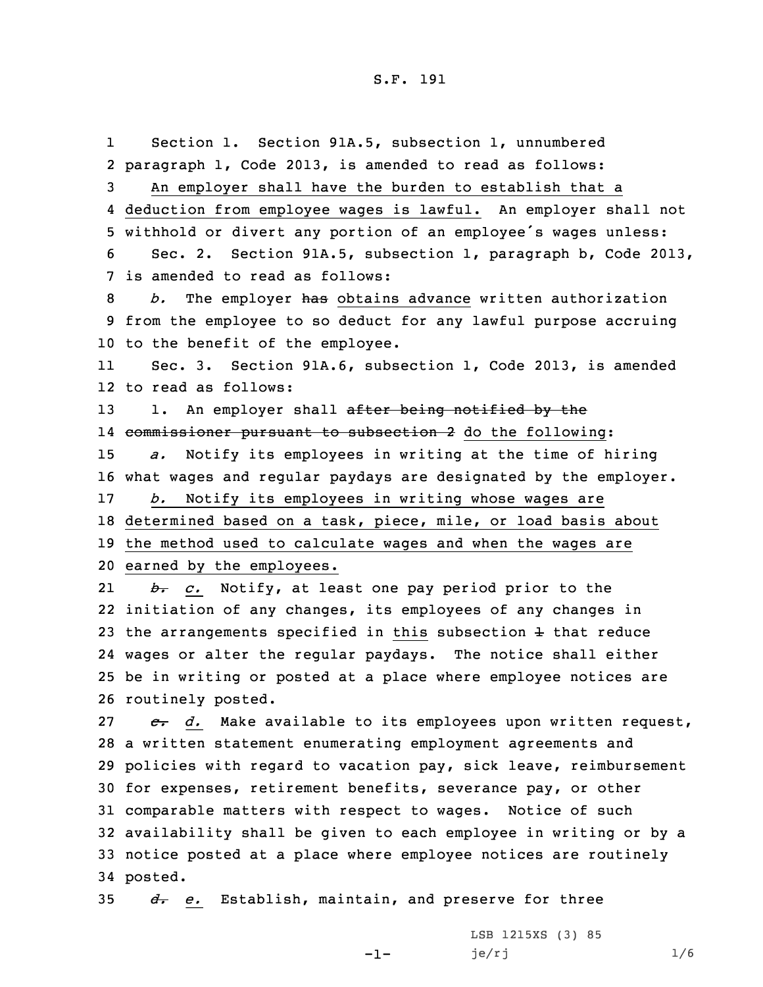## S.F. 191

1 Section 1. Section 91A.5, subsection 1, unnumbered paragraph 1, Code 2013, is amended to read as follows: An employer shall have the burden to establish that <sup>a</sup> deduction from employee wages is lawful. An employer shall not withhold or divert any portion of an employee's wages unless: Sec. 2. Section 91A.5, subsection 1, paragraph b, Code 2013, is amended to read as follows: *b.* The employer has obtains advance written authorization from the employee to so deduct for any lawful purpose accruing to the benefit of the employee. 11 Sec. 3. Section 91A.6, subsection 1, Code 2013, is amended to read as follows: 13 1. An employer shall after being notified by the 14 <del>commissioner pursuant to subsection 2</del> do the following: *a.* Notify its employees in writing at the time of hiring what wages and regular paydays are designated by the employer. *b.* Notify its employees in writing whose wages are determined based on <sup>a</sup> task, piece, mile, or load basis about the method used to calculate wages and when the wages are earned by the employees. 21 *b. c.* Notify, at least one pay period prior to the initiation of any changes, its employees of any changes in 23 the arrangements specified in this subsection  $\pm$  that reduce wages or alter the regular paydays. The notice shall either be in writing or posted at <sup>a</sup> place where employee notices are routinely posted. *c. d.* Make available to its employees upon written request, <sup>a</sup> written statement enumerating employment agreements and policies with regard to vacation pay, sick leave, reimbursement for expenses, retirement benefits, severance pay, or other comparable matters with respect to wages. Notice of such availability shall be given to each employee in writing or by <sup>a</sup> notice posted at <sup>a</sup> place where employee notices are routinely 34 posted.

35 *d. e.* Establish, maintain, and preserve for three

-1-

LSB 1215XS (3) 85 je/rj  $1/6$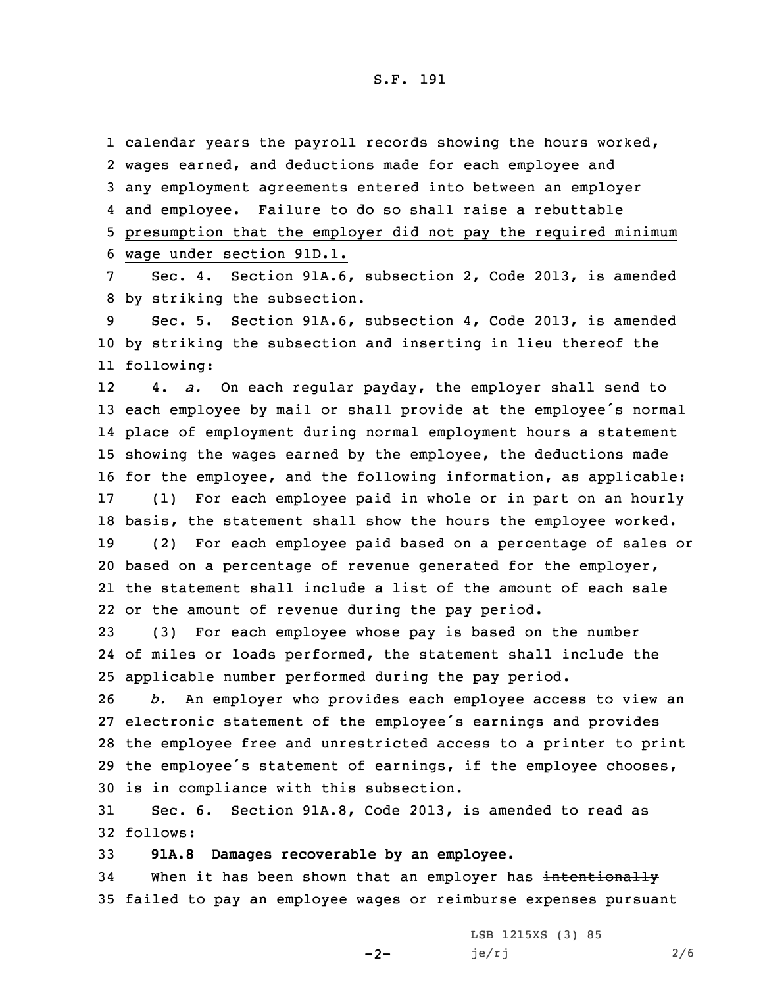S.F. 191

1 calendar years the payroll records showing the hours worked, wages earned, and deductions made for each employee and any employment agreements entered into between an employer and employee. Failure to do so shall raise <sup>a</sup> rebuttable presumption that the employer did not pay the required minimum wage under section 91D.1.

7 Sec. 4. Section 91A.6, subsection 2, Code 2013, is amended 8 by striking the subsection.

9 Sec. 5. Section 91A.6, subsection 4, Code 2013, is amended 10 by striking the subsection and inserting in lieu thereof the 11 following:

12 4. *a.* On each regular payday, the employer shall send to each employee by mail or shall provide at the employee's normal place of employment during normal employment hours <sup>a</sup> statement showing the wages earned by the employee, the deductions made for the employee, and the following information, as applicable: (1) For each employee paid in whole or in part on an hourly basis, the statement shall show the hours the employee worked. (2) For each employee paid based on <sup>a</sup> percentage of sales or based on <sup>a</sup> percentage of revenue generated for the employer, the statement shall include <sup>a</sup> list of the amount of each sale or the amount of revenue during the pay period.

23 (3) For each employee whose pay is based on the number 24 of miles or loads performed, the statement shall include the 25 applicable number performed during the pay period.

 *b.* An employer who provides each employee access to view an electronic statement of the employee's earnings and provides the employee free and unrestricted access to <sup>a</sup> printer to print the employee's statement of earnings, if the employee chooses, is in compliance with this subsection.

31 Sec. 6. Section 91A.8, Code 2013, is amended to read as 32 follows:

33 **91A.8 Damages recoverable by an employee.**

34 When it has been shown that an employer has intentionally 35 failed to pay an employee wages or reimburse expenses pursuant

 $-2-$ 

LSB 1215XS (3) 85  $je/rj$  2/6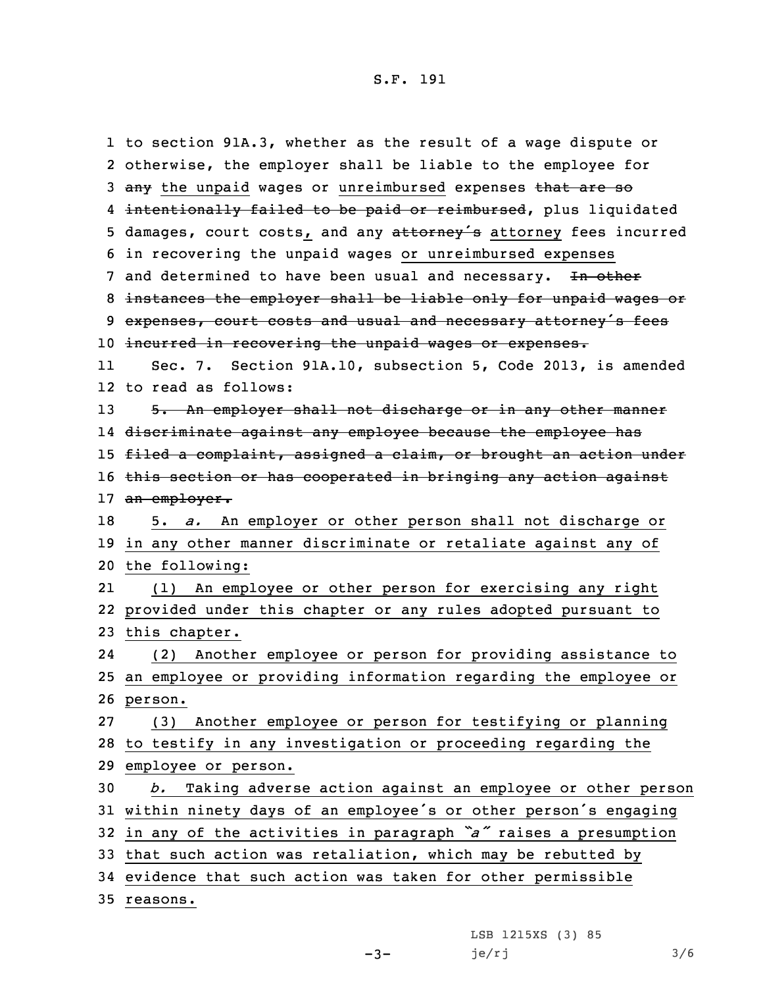1 to section 91A.3, whether as the result of <sup>a</sup> wage dispute or 2 otherwise, the employer shall be liable to the employee for 3 any the unpaid wages or unreimbursed expenses that are so 4 <del>intentionally failed to be paid or reimbursed</del>, plus liquidated 5 damages, court costs, and any attorney's attorney fees incurred 6 in recovering the unpaid wages or unreimbursed expenses 7 and determined to have been usual and necessary. In other 8 instances the employer shall be liable only for unpaid wages or 9 expenses, court costs and usual and necessary attorney's fees 10 incurred in recovering the unpaid wages or expenses. 11 Sec. 7. Section 91A.10, subsection 5, Code 2013, is amended 12 to read as follows: 13 5. An employer shall not discharge or in any other manner 14 discriminate against any employee because the employee has 15 filed a complaint, assigned a claim, or brought an action under 16 this section or has cooperated in bringing any action against 17 an employer. 18 5. *a.* An employer or other person shall not discharge or 19 in any other manner discriminate or retaliate against any of 20 the following: 21 (1) An employee or other person for exercising any right 22 provided under this chapter or any rules adopted pursuant to 23 this chapter. 24 (2) Another employee or person for providing assistance to 25 an employee or providing information regarding the employee or 26 person. 27 (3) Another employee or person for testifying or planning 28 to testify in any investigation or proceeding regarding the 29 employee or person. 30 *b.* Taking adverse action against an employee or other person <sup>31</sup> within ninety days of an employee's or other person's engaging <sup>32</sup> in any of the activities in paragraph *"a"* raises <sup>a</sup> presumption 33 that such action was retaliation, which may be rebutted by 34 evidence that such action was taken for other permissible 35 reasons.

 $-3-$ 

LSB 1215XS (3) 85  $je/rj$  3/6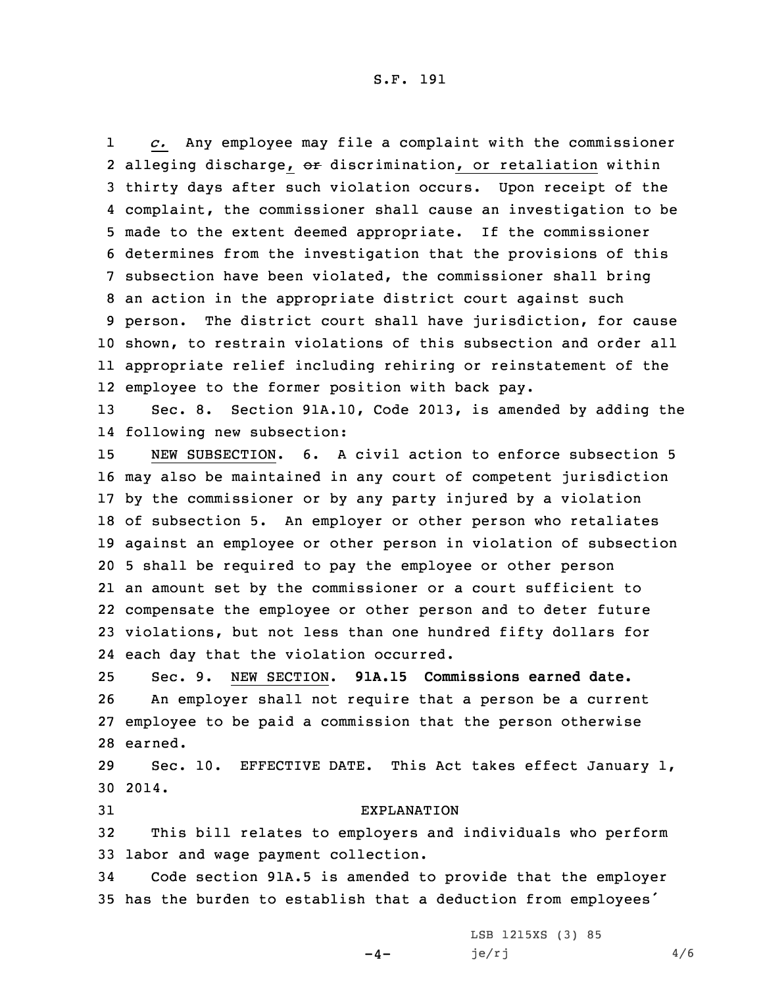1 *c.* Any employee may file <sup>a</sup> complaint with the commissioner 2 alleging discharge, or discrimination, or retaliation within thirty days after such violation occurs. Upon receipt of the complaint, the commissioner shall cause an investigation to be made to the extent deemed appropriate. If the commissioner determines from the investigation that the provisions of this subsection have been violated, the commissioner shall bring an action in the appropriate district court against such person. The district court shall have jurisdiction, for cause shown, to restrain violations of this subsection and order all appropriate relief including rehiring or reinstatement of the employee to the former position with back pay.

13 Sec. 8. Section 91A.10, Code 2013, is amended by adding the 14 following new subsection:

 NEW SUBSECTION. 6. A civil action to enforce subsection 5 may also be maintained in any court of competent jurisdiction by the commissioner or by any party injured by <sup>a</sup> violation of subsection 5. An employer or other person who retaliates against an employee or other person in violation of subsection 5 shall be required to pay the employee or other person an amount set by the commissioner or <sup>a</sup> court sufficient to compensate the employee or other person and to deter future violations, but not less than one hundred fifty dollars for each day that the violation occurred.

 Sec. 9. NEW SECTION. **91A.15 Commissions earned date.** An employer shall not require that <sup>a</sup> person be <sup>a</sup> current employee to be paid <sup>a</sup> commission that the person otherwise 28 earned.

29 Sec. 10. EFFECTIVE DATE. This Act takes effect January 1, 30 2014.

## 31 EXPLANATION

32 This bill relates to employers and individuals who perform 33 labor and wage payment collection.

34 Code section 91A.5 is amended to provide that the employer <sup>35</sup> has the burden to establish that <sup>a</sup> deduction from employees'

 $-4-$ 

LSB 1215XS (3) 85  $je/rj$  4/6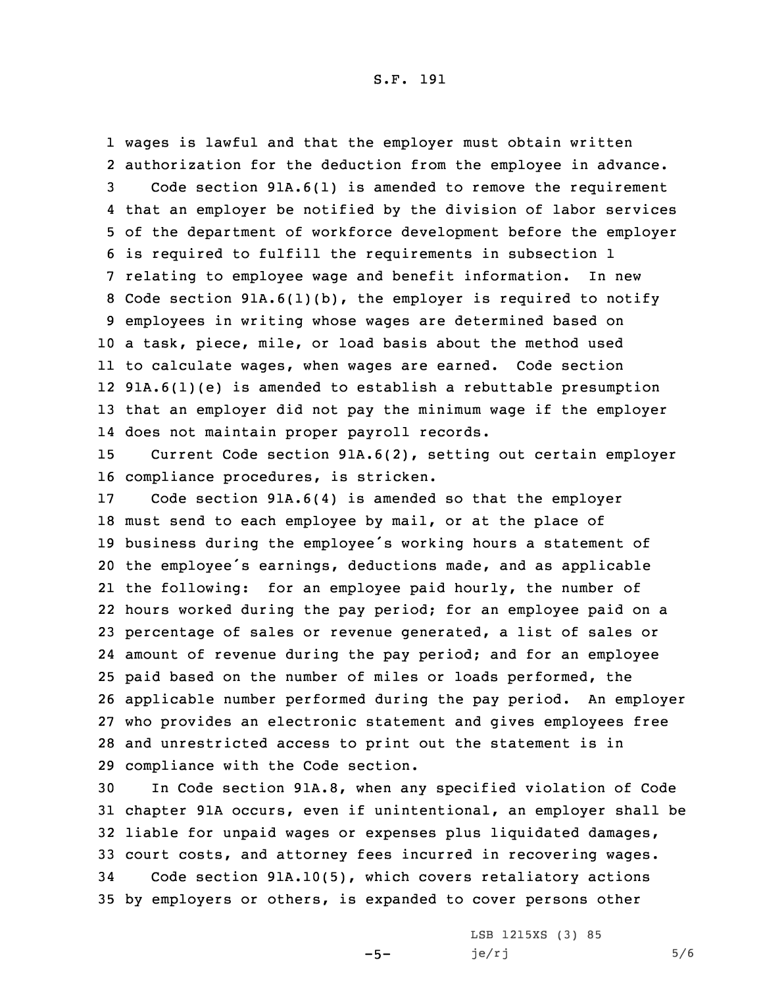wages is lawful and that the employer must obtain written authorization for the deduction from the employee in advance. Code section 91A.6(1) is amended to remove the requirement that an employer be notified by the division of labor services of the department of workforce development before the employer is required to fulfill the requirements in subsection 1 relating to employee wage and benefit information. In new Code section 91A.6(1)(b), the employer is required to notify employees in writing whose wages are determined based on <sup>a</sup> task, piece, mile, or load basis about the method used to calculate wages, when wages are earned. Code section 91A.6(1)(e) is amended to establish <sup>a</sup> rebuttable presumption that an employer did not pay the minimum wage if the employer does not maintain proper payroll records.

15 Current Code section 91A.6(2), setting out certain employer 16 compliance procedures, is stricken.

 Code section 91A.6(4) is amended so that the employer must send to each employee by mail, or at the place of business during the employee's working hours <sup>a</sup> statement of the employee's earnings, deductions made, and as applicable the following: for an employee paid hourly, the number of hours worked during the pay period; for an employee paid on <sup>a</sup> percentage of sales or revenue generated, <sup>a</sup> list of sales or amount of revenue during the pay period; and for an employee paid based on the number of miles or loads performed, the applicable number performed during the pay period. An employer who provides an electronic statement and gives employees free and unrestricted access to print out the statement is in compliance with the Code section.

 In Code section 91A.8, when any specified violation of Code chapter 91A occurs, even if unintentional, an employer shall be liable for unpaid wages or expenses plus liquidated damages, court costs, and attorney fees incurred in recovering wages. Code section 91A.10(5), which covers retaliatory actions by employers or others, is expanded to cover persons other

 $-5-$ 

LSB 1215XS (3) 85  $je/rj$  5/6